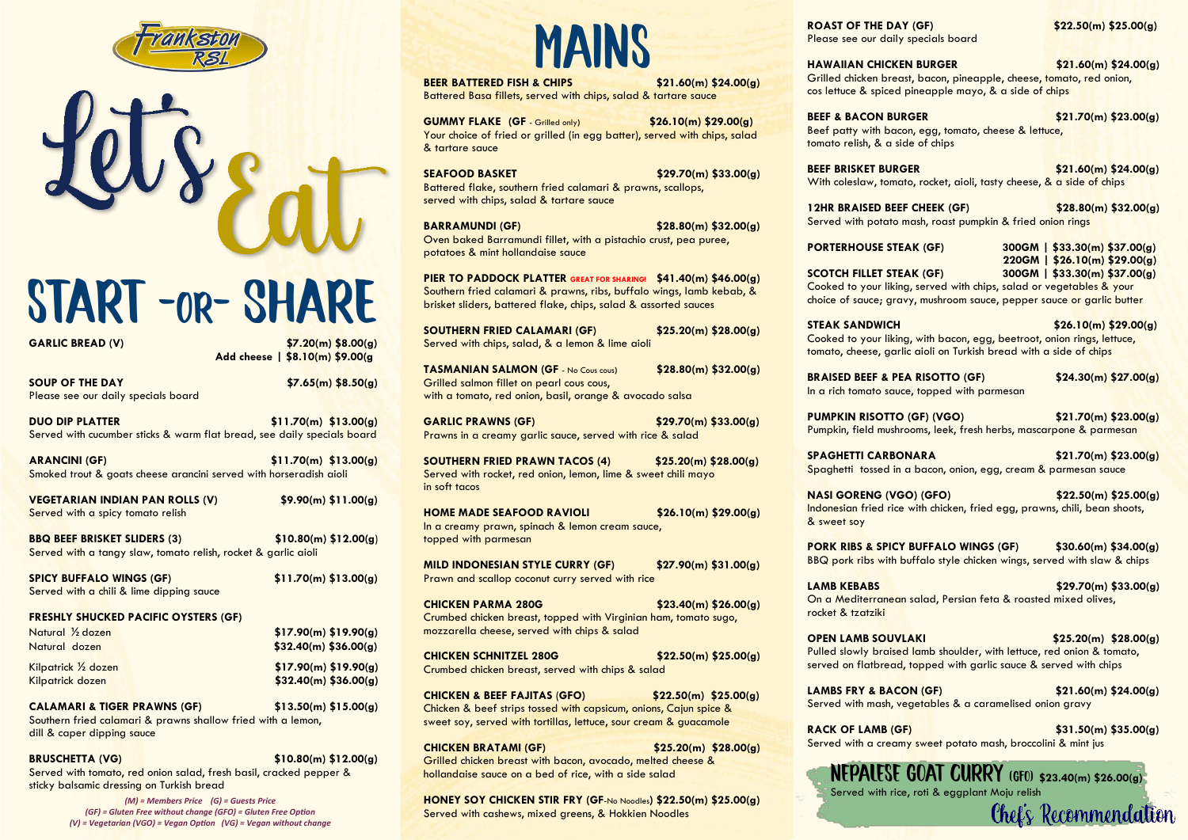



### START -OR- SHARE

**BEER BATTERED FISH & CHIPS** Battered Basa fillets, served with chips, salad & tartare sauce

**GUMMY FLAKE (GF** - Grilled only**) \$26.10(m) \$29.00(g)** Your choice of fried or grilled (in egg batter), served with chips, salad & tartare sauce

**SEAFOOD BASKET** \$29.70(m) \$33.00(g) Battered flake, southern fried calamari & prawns, scallops, served with chips, salad & tartare sauce

**BARRAMUNDI (GF) \$28.80(m) \$32.00(g)**  Oven baked Barramundi fillet, with a pistachio crust, pea puree, potatoes & mint hollandaise sauce

**PIER TO PADDOCK PLATTER GREAT FOR SHARING! \$41.40(m) \$46.00(g)**  Southern fried calamari & prawns, ribs, buffalo wings, lamb kebab, & brisket sliders, battered flake, chips, salad & assorted sauces

**SOUTHERN FRIED CALAMARI (GF) \$25.20(m) \$28.00(g)** Served with chips, salad, & a lemon & lime aioli

**TASMANIAN SALMON (GF** - No Cous cous**) \$28.80(m) \$32.00(g)**  Grilled salmon fillet on pearl cous cous, with a tomato, red onion, basil, orange & avocado salsa

**GARLIC PRAWNS (GF) \$29.70(m) \$33.00(g)**  Prawns in a creamy garlic sauce, served with rice & salad

**SOUTHERN FRIED PRAWN TACOS (4) \$25.20(m) \$28.00(g)** Served with rocket, red onion, lemon, lime & sweet chili mayo in soft tacos

**HOME MADE SEAFOOD RAVIOLI \$26.10(m) \$29.00(g)** In a creamy prawn, spinach & lemon cream sauce, topped with parmesan

**MILD INDONESIAN STYLE CURRY (GF) \$27.90(m) \$31.00(g)** Prawn and scallop coconut curry served with rice

**CHICKEN PARMA 280G \$23.40(m) \$26.00(g)** Crumbed chicken breast, topped with Virginian ham, tomato sugo, mozzarella cheese, served with chips & salad

**CHICKEN SCHNITZEL 280G \$22.50(m) \$25.00(g)** Crumbed chicken breast, served with chips & salad

**ROAST OF THE DAY (GF)** 622.50(m) \$25.00(g) Please see our daily specials board

**CHICKEN & BEEF FAJITAS** (**GFO) \$22.50(m) \$25.00(g)**  Chicken & beef strips tossed with capsicum, onions, Cajun spice & sweet soy, served with tortillas, lettuce, sour cream & guacamole

**CHICKEN BRATAMI (GF) \$25.20(m) \$28.00(g)** Grilled chicken breast with bacon, avocado, melted cheese & hollandaise sauce on a bed of rice, with a side salad

**12HR BRAISED BEEF CHEEK (GF) \$28.80(m) \$32.00(g)** Served with potato mash, roast pumpkin & fried onion rings

**HONEY SOY CHICKEN STIR FRY (GF**-No Noodles**) \$22.50(m) \$25.00(g)**  Served with cashews, mixed greens, & Hokkien Noodles

**GARLIC BREAD (V) \$7.20(m) \$8.00(g) Add cheese | \$8.10(m) \$9.00(g**

**STEAK SANDWICH \$26.10(m) \$29.00(g)** Cooked to your liking, with bacon, egg, beetroot, onion rings, lettuce, tomato, cheese, garlic aioli on Turkish bread with a side of chips

**SOUP OF THE DAY \$7.65(m) \$8.50(g)** Please see our daily specials board

**DUO DIP PLATTER \$11.70(m) \$13.00(g)** Served with cucumber sticks & warm flat bread, see daily specials board

**ARANCINI (GF) \$11.70(m) \$13.00(g)** Smoked trout & goats cheese arancini served with horseradish aioli

**VEGETARIAN INDIAN PAN ROLLS (V) \$9.90(m) \$11.00(g)** Served with a spicy tomato relish

**BBQ BEEF BRISKET SLIDERS (3) \$10.80(m) \$12.00(g**) Served with a tangy slaw, tomato relish, rocket & garlic aioli

**SPICY BUFFALO WINGS (GF) \$11.70(m) \$13.00(g)** Served with a chili & lime dipping sauce

**RACK OF LAMB (GF)** \$31.50(m) \$35.00(q) Served with a creamy sweet potato mash, broccolini & mint jus



#### **FRESHLY SHUCKED PACIFIC OYSTERS (GF)**

Served with rice, roti & eggplant Moju relish Chef's Recommendation

| Natural 1/2 dozen                        | \$17.90(m) \$19.90(g)                          |
|------------------------------------------|------------------------------------------------|
| Natural dozen                            | \$32.40(m) \$36.00(g)                          |
| Kilpatrick 1/2 dozen<br>Kilpatrick dozen | \$17.90(m) \$19.90(g)<br>\$32.40(m) \$36.00(g) |
|                                          |                                                |

**CALAMARI & TIGER PRAWNS (GF) \$13.50(m) \$15.00(g)**

Southern fried calamari & prawns shallow fried with a lemon, dill & caper dipping sauce

#### **BRUSCHETTA (VG)** \$10.80(m) \$12.00(q)

Served with tomato, red onion salad, fresh basil, cracked pepper & sticky balsamic dressing on Turkish bread

> *(M) = Members Price (G) = Guests Price (GF) = Gluten Free without change (GFO) = Gluten Free Option (V) = Vegetarian (VGO) = Vegan Option (VG) = Vegan without change*

## $MANSS$ <br>
S CHIPS
S 21.60(m) \$24.00(g)

**HAWAIIAN CHICKEN BURGER \$21.60(m) \$24.00(g)**  Grilled chicken breast, bacon, pineapple, cheese, tomato, red onion, cos lettuce & spiced pineapple mayo, & a side of chips

**BEEF & BACON BURGER \$21.70(m) \$23.00(g)** Beef patty with bacon, egg, tomato, cheese & lettuce, tomato relish, & a side of chips

**BEEF BRISKET BURGER** \$21.60(m) \$24.00(g) With coleslaw, tomato, rocket, aioli, tasty cheese, & a side of chips

**PORTERHOUSE STEAK (GF) 300GM | \$33.30(m) \$37.00(g) 220GM | \$26.10(m) \$29.00(g) SCOTCH FILLET STEAK (GF) 300GM | \$33.30(m) \$37.00(g)**

Cooked to your liking, served with chips, salad or vegetables & your choice of sauce; gravy, mushroom sauce, pepper sauce or garlic butter

**BRAISED BEEF & PEA RISOTTO (GF) \$24.30(m) \$27.00(g)**

In a rich tomato sauce, topped with parmesan **PUMPKIN RISOTTO (GF) (VGO) \$21.70(m) \$23.00(g)** Pumpkin, field mushrooms, leek, fresh herbs, mascarpone & parmesan

**SPAGHETTI CARBONARA \$21.70(m) \$23.00(g)** Spaghetti tossed in a bacon, onion, egg, cream & parmesan sauce

**NASI GORENG (VGO) (GFO) \$22.50(m) \$25.00(g)** Indonesian fried rice with chicken, fried egg, prawns, chili, bean shoots, & sweet soy

**PORK RIBS & SPICY BUFFALO WINGS (GF) \$30.60(m) \$34.00(g)**  BBQ pork ribs with buffalo style chicken wings, served with slaw & chips

**LAMB KEBABS \$29.70(m) \$33.00(g)** On a Mediterranean salad, Persian feta & roasted mixed olives, rocket & tzatziki

**OPEN LAMB SOUVLAKI \$25.20(m) \$28.00(g)**  Pulled slowly braised lamb shoulder, with lettuce, red onion & tomato, served on flatbread, topped with garlic sauce & served with chips

**LAMBS FRY & BACON (GF) \$21.60(m) \$24.00(g)** Served with mash, vegetables & a caramelised onion gravy

NEPALESE GOAT CURRY (GFO) **\$23.40(m) \$26.00(g)**